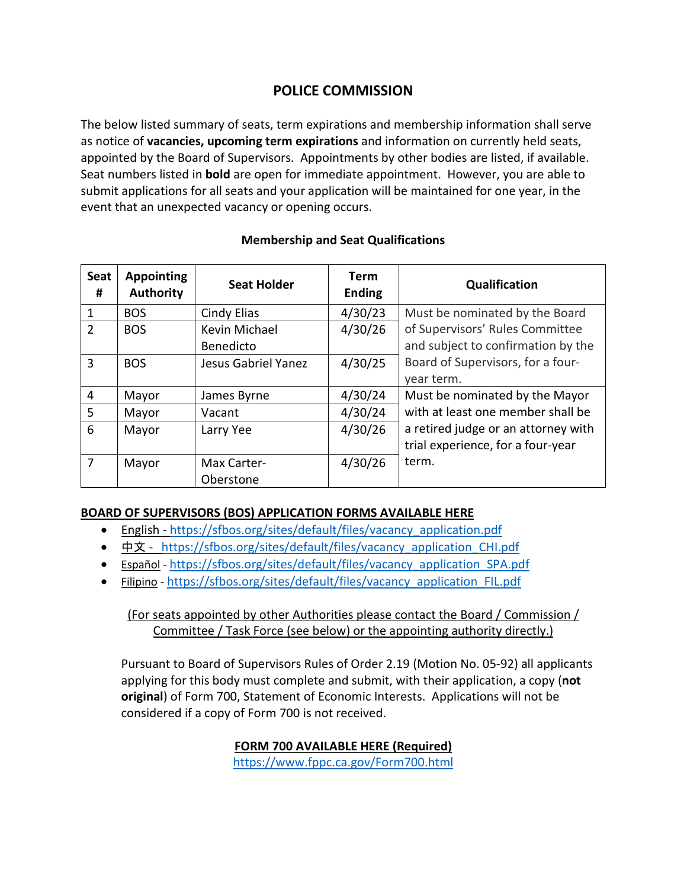# **POLICE COMMISSION**

The below listed summary of seats, term expirations and membership information shall serve as notice of **vacancies, upcoming term expirations** and information on currently held seats, appointed by the Board of Supervisors. Appointments by other bodies are listed, if available. Seat numbers listed in **bold** are open for immediate appointment. However, you are able to submit applications for all seats and your application will be maintained for one year, in the event that an unexpected vacancy or opening occurs.

| Seat<br>#      | <b>Appointing</b><br><b>Authority</b> | <b>Seat Holder</b>  | <b>Term</b><br><b>Ending</b> | Qualification                       |
|----------------|---------------------------------------|---------------------|------------------------------|-------------------------------------|
| 1              | <b>BOS</b>                            | Cindy Elias         | 4/30/23                      | Must be nominated by the Board      |
| $\overline{2}$ | <b>BOS</b>                            | Kevin Michael       | 4/30/26                      | of Supervisors' Rules Committee     |
|                |                                       | Benedicto           |                              | and subject to confirmation by the  |
| 3              | <b>BOS</b>                            | Jesus Gabriel Yanez | 4/30/25                      | Board of Supervisors, for a four-   |
|                |                                       |                     |                              | year term.                          |
| 4              | Mayor                                 | James Byrne         | 4/30/24                      | Must be nominated by the Mayor      |
| 5              | Mayor                                 | Vacant              | 4/30/24                      | with at least one member shall be   |
| 6              | Mayor                                 | Larry Yee           | 4/30/26                      | a retired judge or an attorney with |
|                |                                       |                     |                              | trial experience, for a four-year   |
| 7              | Mayor                                 | Max Carter-         | 4/30/26                      | term.                               |
|                |                                       | Oberstone           |                              |                                     |

### **Membership and Seat Qualifications**

#### **BOARD OF SUPERVISORS (BOS) APPLICATION FORMS AVAILABLE HERE**

- English [https://sfbos.org/sites/default/files/vacancy\\_application.pdf](https://sfbos.org/sites/default/files/vacancy_application.pdf)
- [中文](https://sfbos.org/sites/default/files/vacancy_application_CHI.pdf) https://sfbos.org/sites/default/files/vacancy application CHI.pdf
- [Español](https://sfbos.org/sites/default/files/vacancy_application_SPA.pdf) https://sfbos.org/sites/default/files/vacancy application SPA.pdf
- [Filipino](https://sfbos.org/sites/default/files/vacancy_application_FIL.pdf) [https://sfbos.org/sites/default/files/vacancy\\_application\\_FIL.pdf](https://sfbos.org/sites/default/files/vacancy_application_FIL.pdf)

## (For seats appointed by other Authorities please contact the Board / Commission / Committee / Task Force (see below) or the appointing authority directly.)

Pursuant to Board of Supervisors Rules of Order 2.19 (Motion No. 05-92) all applicants applying for this body must complete and submit, with their application, a copy (**not original**) of Form 700, Statement of Economic Interests. Applications will not be considered if a copy of Form 700 is not received.

### **FORM 700 AVAILABLE HERE (Required)**

<https://www.fppc.ca.gov/Form700.html>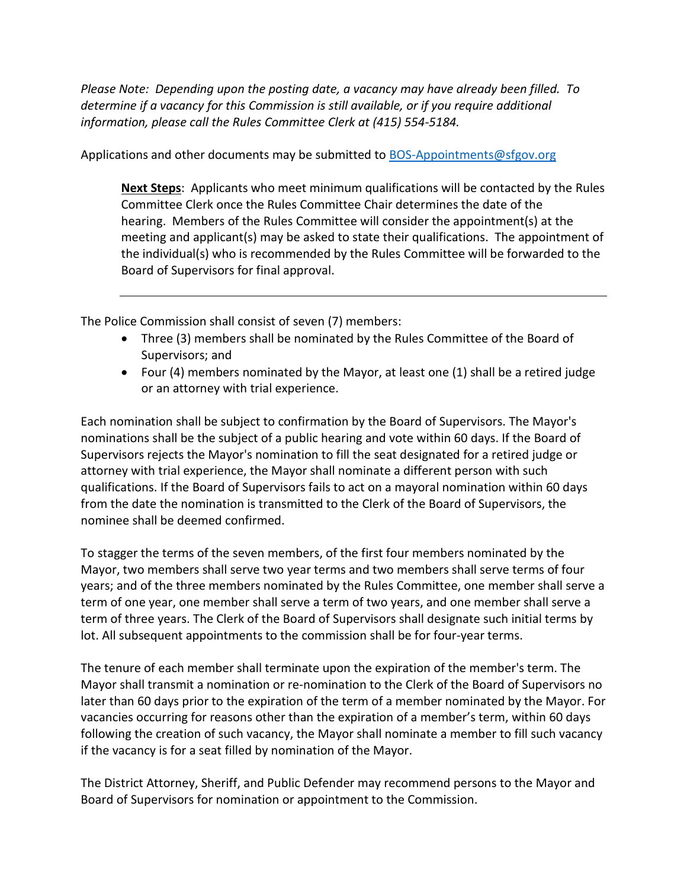*Please Note: Depending upon the posting date, a vacancy may have already been filled. To determine if a vacancy for this Commission is still available, or if you require additional information, please call the Rules Committee Clerk at (415) 554-5184.*

Applications and other documents may be submitted to [BOS-Appointments@sfgov.org](mailto:BOS-Appointments@sfgov.org)

**Next Steps**: Applicants who meet minimum qualifications will be contacted by the Rules Committee Clerk once the Rules Committee Chair determines the date of the hearing. Members of the Rules Committee will consider the appointment(s) at the meeting and applicant(s) may be asked to state their qualifications. The appointment of the individual(s) who is recommended by the Rules Committee will be forwarded to the Board of Supervisors for final approval.

The Police Commission shall consist of seven (7) members:

- Three (3) members shall be nominated by the Rules Committee of the Board of Supervisors; and
- Four (4) members nominated by the Mayor, at least one (1) shall be a retired judge or an attorney with trial experience.

Each nomination shall be subject to confirmation by the Board of Supervisors. The Mayor's nominations shall be the subject of a public hearing and vote within 60 days. If the Board of Supervisors rejects the Mayor's nomination to fill the seat designated for a retired judge or attorney with trial experience, the Mayor shall nominate a different person with such qualifications. If the Board of Supervisors fails to act on a mayoral nomination within 60 days from the date the nomination is transmitted to the Clerk of the Board of Supervisors, the nominee shall be deemed confirmed.

To stagger the terms of the seven members, of the first four members nominated by the Mayor, two members shall serve two year terms and two members shall serve terms of four years; and of the three members nominated by the Rules Committee, one member shall serve a term of one year, one member shall serve a term of two years, and one member shall serve a term of three years. The Clerk of the Board of Supervisors shall designate such initial terms by lot. All subsequent appointments to the commission shall be for four-year terms.

The tenure of each member shall terminate upon the expiration of the member's term. The Mayor shall transmit a nomination or re-nomination to the Clerk of the Board of Supervisors no later than 60 days prior to the expiration of the term of a member nominated by the Mayor. For vacancies occurring for reasons other than the expiration of a member's term, within 60 days following the creation of such vacancy, the Mayor shall nominate a member to fill such vacancy if the vacancy is for a seat filled by nomination of the Mayor.

The District Attorney, Sheriff, and Public Defender may recommend persons to the Mayor and Board of Supervisors for nomination or appointment to the Commission.